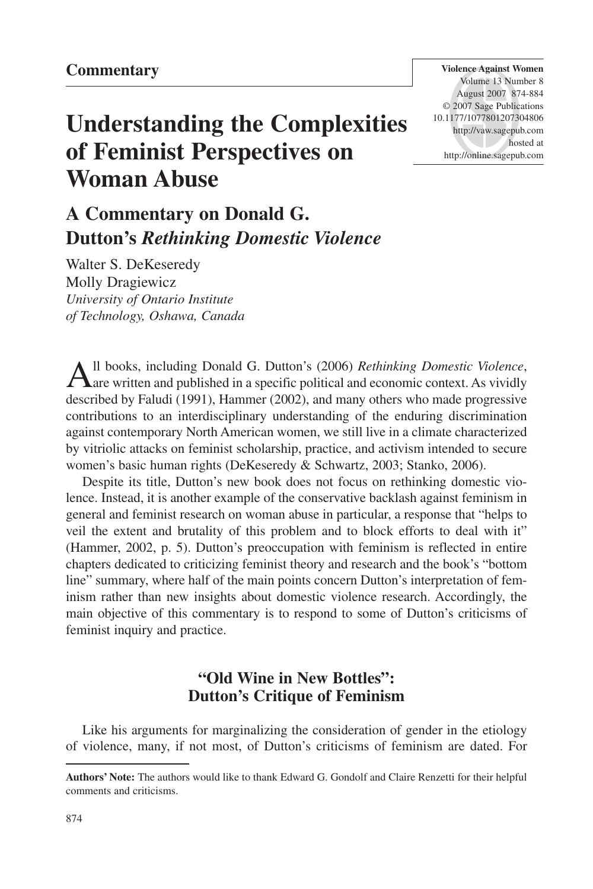# **Understanding the Complexities of Feminist Perspectives on Woman Abuse**

**Violence Against Women** Volume 13 Number 8 August 2007 874-884 © 2007 Sage Publications 10.1177/1077801207304806 http://vaw.sagepub.com hosted at http://online.sagepub.com

## **A Commentary on Donald G. Dutton's** *Rethinking Domestic Violence*

Walter S. DeKeseredy Molly Dragiewicz *University of Ontario Institute of Technology, Oshawa, Canada*

All books, including Donald G. Dutton's (2006) *Rethinking Domestic Violence*, are written and published in a specific political and economic context. As vividly described by Faludi (1991), Hammer (2002), and many others who made progressive contributions to an interdisciplinary understanding of the enduring discrimination against contemporary North American women, we still live in a climate characterized by vitriolic attacks on feminist scholarship, practice, and activism intended to secure women's basic human rights (DeKeseredy & Schwartz, 2003; Stanko, 2006).

Despite its title, Dutton's new book does not focus on rethinking domestic violence. Instead, it is another example of the conservative backlash against feminism in general and feminist research on woman abuse in particular, a response that "helps to veil the extent and brutality of this problem and to block efforts to deal with it" (Hammer, 2002, p. 5). Dutton's preoccupation with feminism is reflected in entire chapters dedicated to criticizing feminist theory and research and the book's "bottom line" summary, where half of the main points concern Dutton's interpretation of feminism rather than new insights about domestic violence research. Accordingly, the main objective of this commentary is to respond to some of Dutton's criticisms of feminist inquiry and practice.

### **"Old Wine in New Bottles": Dutton's Critique of Feminism**

Like his arguments for marginalizing the consideration of gender in the etiology of violence, many, if not most, of Dutton's criticisms of feminism are dated. For

**Authors' Note:** The authors would like to thank Edward G. Gondolf and Claire Renzetti for their helpful comments and criticisms.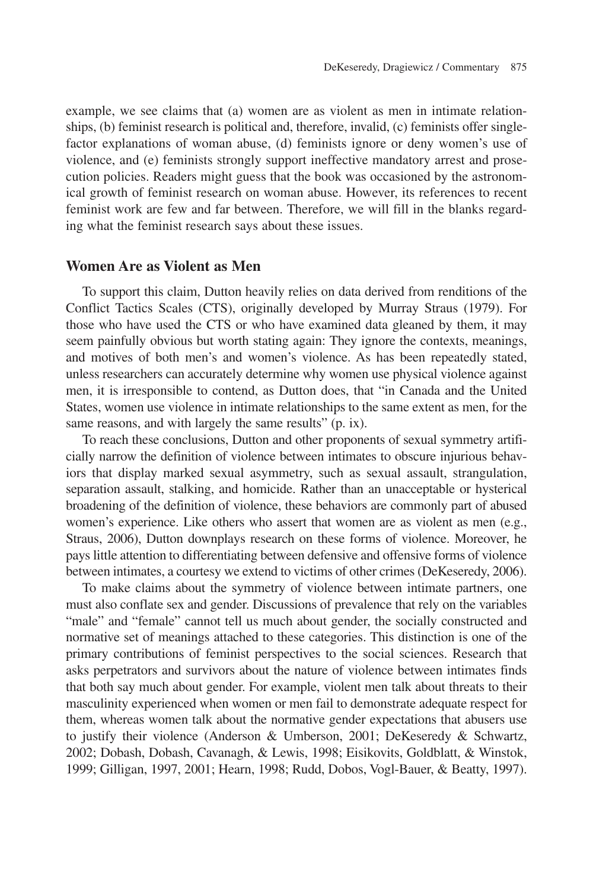example, we see claims that (a) women are as violent as men in intimate relationships, (b) feminist research is political and, therefore, invalid, (c) feminists offer singlefactor explanations of woman abuse, (d) feminists ignore or deny women's use of violence, and (e) feminists strongly support ineffective mandatory arrest and prosecution policies. Readers might guess that the book was occasioned by the astronomical growth of feminist research on woman abuse. However, its references to recent feminist work are few and far between. Therefore, we will fill in the blanks regarding what the feminist research says about these issues.

#### **Women Are as Violent as Men**

To support this claim, Dutton heavily relies on data derived from renditions of the Conflict Tactics Scales (CTS), originally developed by Murray Straus (1979). For those who have used the CTS or who have examined data gleaned by them, it may seem painfully obvious but worth stating again: They ignore the contexts, meanings, and motives of both men's and women's violence. As has been repeatedly stated, unless researchers can accurately determine why women use physical violence against men, it is irresponsible to contend, as Dutton does, that "in Canada and the United States, women use violence in intimate relationships to the same extent as men, for the same reasons, and with largely the same results" (p. ix).

To reach these conclusions, Dutton and other proponents of sexual symmetry artificially narrow the definition of violence between intimates to obscure injurious behaviors that display marked sexual asymmetry, such as sexual assault, strangulation, separation assault, stalking, and homicide. Rather than an unacceptable or hysterical broadening of the definition of violence, these behaviors are commonly part of abused women's experience. Like others who assert that women are as violent as men (e.g., Straus, 2006), Dutton downplays research on these forms of violence. Moreover, he pays little attention to differentiating between defensive and offensive forms of violence between intimates, a courtesy we extend to victims of other crimes (DeKeseredy, 2006).

To make claims about the symmetry of violence between intimate partners, one must also conflate sex and gender. Discussions of prevalence that rely on the variables "male" and "female" cannot tell us much about gender, the socially constructed and normative set of meanings attached to these categories. This distinction is one of the primary contributions of feminist perspectives to the social sciences. Research that asks perpetrators and survivors about the nature of violence between intimates finds that both say much about gender. For example, violent men talk about threats to their masculinity experienced when women or men fail to demonstrate adequate respect for them, whereas women talk about the normative gender expectations that abusers use to justify their violence (Anderson & Umberson, 2001; DeKeseredy & Schwartz, 2002; Dobash, Dobash, Cavanagh, & Lewis, 1998; Eisikovits, Goldblatt, & Winstok, 1999; Gilligan, 1997, 2001; Hearn, 1998; Rudd, Dobos, Vogl-Bauer, & Beatty, 1997).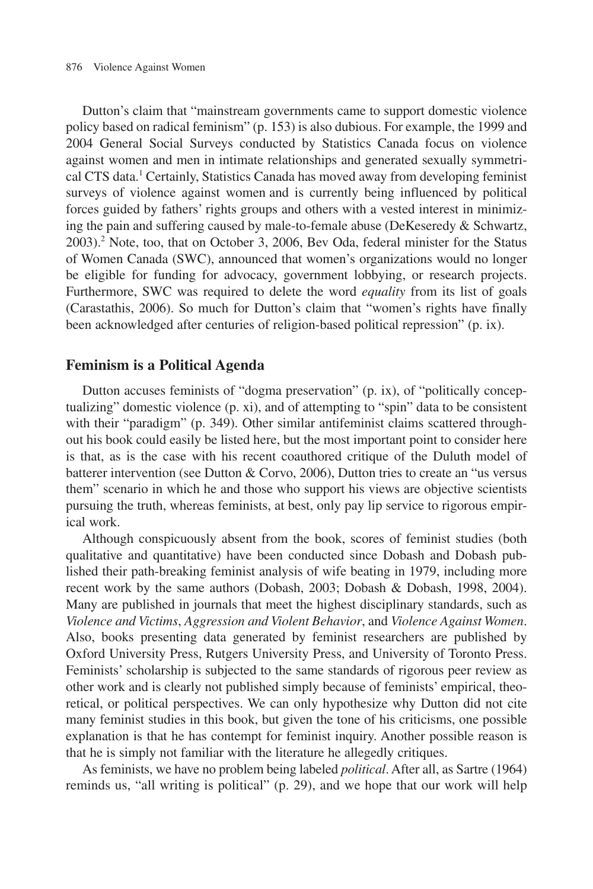Dutton's claim that "mainstream governments came to support domestic violence policy based on radical feminism" (p. 153) is also dubious. For example, the 1999 and 2004 General Social Surveys conducted by Statistics Canada focus on violence against women and men in intimate relationships and generated sexually symmetrical CTS data.1 Certainly, Statistics Canada has moved away from developing feminist surveys of violence against women and is currently being influenced by political forces guided by fathers' rights groups and others with a vested interest in minimizing the pain and suffering caused by male-to-female abuse (DeKeseredy & Schwartz, 2003).2 Note, too, that on October 3, 2006, Bev Oda, federal minister for the Status of Women Canada (SWC), announced that women's organizations would no longer be eligible for funding for advocacy, government lobbying, or research projects. Furthermore, SWC was required to delete the word *equality* from its list of goals (Carastathis, 2006). So much for Dutton's claim that "women's rights have finally been acknowledged after centuries of religion-based political repression" (p. ix).

#### **Feminism is a Political Agenda**

Dutton accuses feminists of "dogma preservation" (p. ix), of "politically conceptualizing" domestic violence (p. xi), and of attempting to "spin" data to be consistent with their "paradigm" (p. 349). Other similar antifeminist claims scattered throughout his book could easily be listed here, but the most important point to consider here is that, as is the case with his recent coauthored critique of the Duluth model of batterer intervention (see Dutton & Corvo, 2006), Dutton tries to create an "us versus them" scenario in which he and those who support his views are objective scientists pursuing the truth, whereas feminists, at best, only pay lip service to rigorous empirical work.

Although conspicuously absent from the book, scores of feminist studies (both qualitative and quantitative) have been conducted since Dobash and Dobash published their path-breaking feminist analysis of wife beating in 1979, including more recent work by the same authors (Dobash, 2003; Dobash & Dobash, 1998, 2004). Many are published in journals that meet the highest disciplinary standards, such as *Violence and Victims*, *Aggression and Violent Behavior*, and *Violence Against Women*. Also, books presenting data generated by feminist researchers are published by Oxford University Press, Rutgers University Press, and University of Toronto Press. Feminists' scholarship is subjected to the same standards of rigorous peer review as other work and is clearly not published simply because of feminists' empirical, theoretical, or political perspectives. We can only hypothesize why Dutton did not cite many feminist studies in this book, but given the tone of his criticisms, one possible explanation is that he has contempt for feminist inquiry. Another possible reason is that he is simply not familiar with the literature he allegedly critiques.

As feminists, we have no problem being labeled *political*. After all, as Sartre (1964) reminds us, "all writing is political" (p. 29), and we hope that our work will help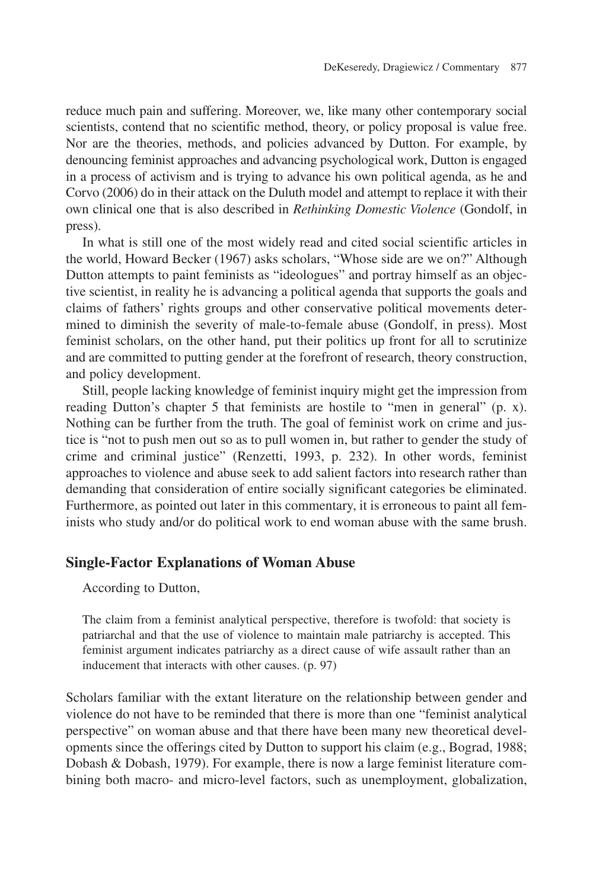reduce much pain and suffering. Moreover, we, like many other contemporary social scientists, contend that no scientific method, theory, or policy proposal is value free. Nor are the theories, methods, and policies advanced by Dutton. For example, by denouncing feminist approaches and advancing psychological work, Dutton is engaged in a process of activism and is trying to advance his own political agenda, as he and Corvo (2006) do in their attack on the Duluth model and attempt to replace it with their own clinical one that is also described in *Rethinking Domestic Violence* (Gondolf, in press).

In what is still one of the most widely read and cited social scientific articles in the world, Howard Becker (1967) asks scholars, "Whose side are we on?" Although Dutton attempts to paint feminists as "ideologues" and portray himself as an objective scientist, in reality he is advancing a political agenda that supports the goals and claims of fathers' rights groups and other conservative political movements determined to diminish the severity of male-to-female abuse (Gondolf, in press). Most feminist scholars, on the other hand, put their politics up front for all to scrutinize and are committed to putting gender at the forefront of research, theory construction, and policy development.

Still, people lacking knowledge of feminist inquiry might get the impression from reading Dutton's chapter 5 that feminists are hostile to "men in general" (p. x). Nothing can be further from the truth. The goal of feminist work on crime and justice is "not to push men out so as to pull women in, but rather to gender the study of crime and criminal justice" (Renzetti, 1993, p. 232). In other words, feminist approaches to violence and abuse seek to add salient factors into research rather than demanding that consideration of entire socially significant categories be eliminated. Furthermore, as pointed out later in this commentary, it is erroneous to paint all feminists who study and/or do political work to end woman abuse with the same brush.

#### **Single-Factor Explanations of Woman Abuse**

According to Dutton,

The claim from a feminist analytical perspective, therefore is twofold: that society is patriarchal and that the use of violence to maintain male patriarchy is accepted. This feminist argument indicates patriarchy as a direct cause of wife assault rather than an inducement that interacts with other causes. (p. 97)

Scholars familiar with the extant literature on the relationship between gender and violence do not have to be reminded that there is more than one "feminist analytical perspective" on woman abuse and that there have been many new theoretical developments since the offerings cited by Dutton to support his claim (e.g., Bograd, 1988; Dobash & Dobash, 1979). For example, there is now a large feminist literature combining both macro- and micro-level factors, such as unemployment, globalization,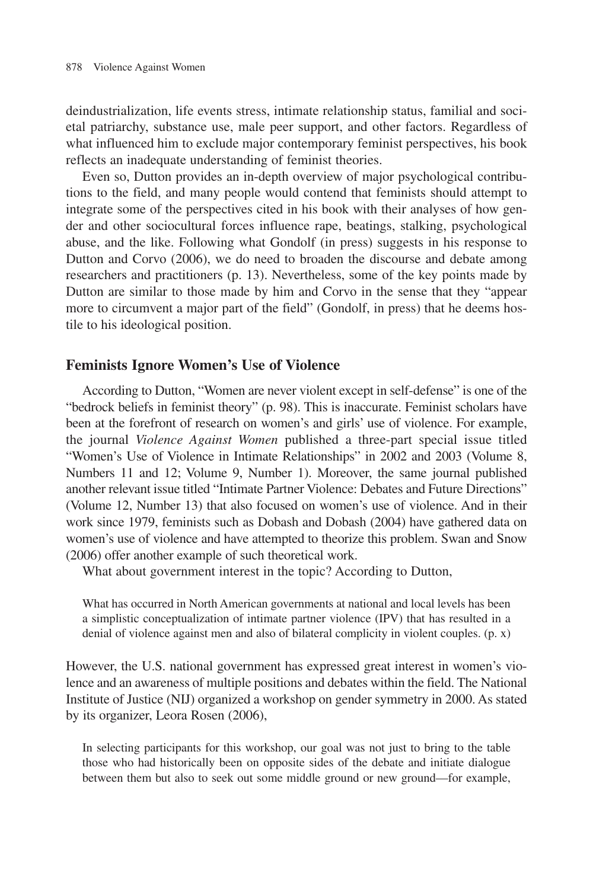deindustrialization, life events stress, intimate relationship status, familial and societal patriarchy, substance use, male peer support, and other factors. Regardless of what influenced him to exclude major contemporary feminist perspectives, his book reflects an inadequate understanding of feminist theories.

Even so, Dutton provides an in-depth overview of major psychological contributions to the field, and many people would contend that feminists should attempt to integrate some of the perspectives cited in his book with their analyses of how gender and other sociocultural forces influence rape, beatings, stalking, psychological abuse, and the like. Following what Gondolf (in press) suggests in his response to Dutton and Corvo (2006), we do need to broaden the discourse and debate among researchers and practitioners (p. 13). Nevertheless, some of the key points made by Dutton are similar to those made by him and Corvo in the sense that they "appear more to circumvent a major part of the field" (Gondolf, in press) that he deems hostile to his ideological position.

#### **Feminists Ignore Women's Use of Violence**

According to Dutton, "Women are never violent except in self-defense" is one of the "bedrock beliefs in feminist theory" (p. 98). This is inaccurate. Feminist scholars have been at the forefront of research on women's and girls' use of violence. For example, the journal *Violence Against Women* published a three-part special issue titled "Women's Use of Violence in Intimate Relationships" in 2002 and 2003 (Volume 8, Numbers 11 and 12; Volume 9, Number 1). Moreover, the same journal published another relevant issue titled "Intimate Partner Violence: Debates and Future Directions" (Volume 12, Number 13) that also focused on women's use of violence. And in their work since 1979, feminists such as Dobash and Dobash (2004) have gathered data on women's use of violence and have attempted to theorize this problem. Swan and Snow (2006) offer another example of such theoretical work.

What about government interest in the topic? According to Dutton,

What has occurred in North American governments at national and local levels has been a simplistic conceptualization of intimate partner violence (IPV) that has resulted in a denial of violence against men and also of bilateral complicity in violent couples. (p. x)

However, the U.S. national government has expressed great interest in women's violence and an awareness of multiple positions and debates within the field. The National Institute of Justice (NIJ) organized a workshop on gender symmetry in 2000. As stated by its organizer, Leora Rosen (2006),

In selecting participants for this workshop, our goal was not just to bring to the table those who had historically been on opposite sides of the debate and initiate dialogue between them but also to seek out some middle ground or new ground—for example,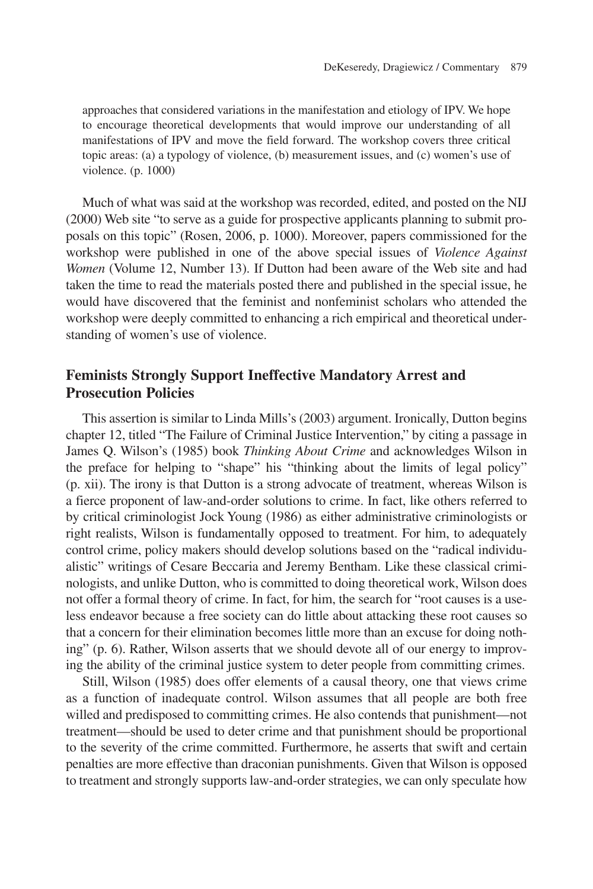approaches that considered variations in the manifestation and etiology of IPV. We hope to encourage theoretical developments that would improve our understanding of all manifestations of IPV and move the field forward. The workshop covers three critical topic areas: (a) a typology of violence, (b) measurement issues, and (c) women's use of violence. (p. 1000)

Much of what was said at the workshop was recorded, edited, and posted on the NIJ (2000) Web site "to serve as a guide for prospective applicants planning to submit proposals on this topic" (Rosen, 2006, p. 1000). Moreover, papers commissioned for the workshop were published in one of the above special issues of *Violence Against Women* (Volume 12, Number 13). If Dutton had been aware of the Web site and had taken the time to read the materials posted there and published in the special issue, he would have discovered that the feminist and nonfeminist scholars who attended the workshop were deeply committed to enhancing a rich empirical and theoretical understanding of women's use of violence.

#### **Feminists Strongly Support Ineffective Mandatory Arrest and Prosecution Policies**

This assertion is similar to Linda Mills's (2003) argument. Ironically, Dutton begins chapter 12, titled "The Failure of Criminal Justice Intervention," by citing a passage in James Q. Wilson's (1985) book *Thinking About Crime* and acknowledges Wilson in the preface for helping to "shape" his "thinking about the limits of legal policy" (p. xii). The irony is that Dutton is a strong advocate of treatment, whereas Wilson is a fierce proponent of law-and-order solutions to crime. In fact, like others referred to by critical criminologist Jock Young (1986) as either administrative criminologists or right realists, Wilson is fundamentally opposed to treatment. For him, to adequately control crime, policy makers should develop solutions based on the "radical individualistic" writings of Cesare Beccaria and Jeremy Bentham. Like these classical criminologists, and unlike Dutton, who is committed to doing theoretical work, Wilson does not offer a formal theory of crime. In fact, for him, the search for "root causes is a useless endeavor because a free society can do little about attacking these root causes so that a concern for their elimination becomes little more than an excuse for doing nothing" (p. 6). Rather, Wilson asserts that we should devote all of our energy to improving the ability of the criminal justice system to deter people from committing crimes.

Still, Wilson (1985) does offer elements of a causal theory, one that views crime as a function of inadequate control. Wilson assumes that all people are both free willed and predisposed to committing crimes. He also contends that punishment—not treatment—should be used to deter crime and that punishment should be proportional to the severity of the crime committed. Furthermore, he asserts that swift and certain penalties are more effective than draconian punishments. Given that Wilson is opposed to treatment and strongly supports law-and-order strategies, we can only speculate how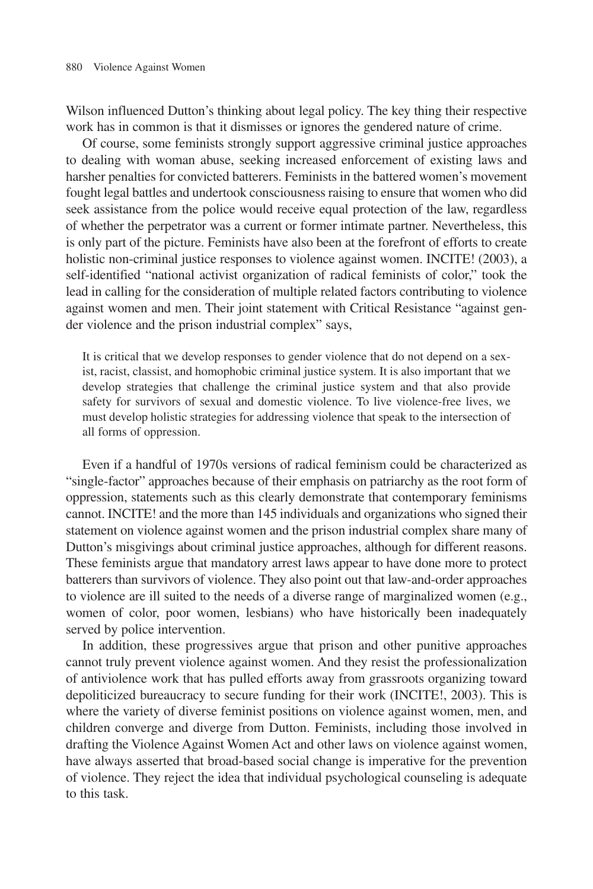Wilson influenced Dutton's thinking about legal policy. The key thing their respective work has in common is that it dismisses or ignores the gendered nature of crime.

Of course, some feminists strongly support aggressive criminal justice approaches to dealing with woman abuse, seeking increased enforcement of existing laws and harsher penalties for convicted batterers. Feminists in the battered women's movement fought legal battles and undertook consciousness raising to ensure that women who did seek assistance from the police would receive equal protection of the law, regardless of whether the perpetrator was a current or former intimate partner. Nevertheless, this is only part of the picture. Feminists have also been at the forefront of efforts to create holistic non-criminal justice responses to violence against women. INCITE! (2003), a self-identified "national activist organization of radical feminists of color," took the lead in calling for the consideration of multiple related factors contributing to violence against women and men. Their joint statement with Critical Resistance "against gender violence and the prison industrial complex" says,

It is critical that we develop responses to gender violence that do not depend on a sexist, racist, classist, and homophobic criminal justice system. It is also important that we develop strategies that challenge the criminal justice system and that also provide safety for survivors of sexual and domestic violence. To live violence-free lives, we must develop holistic strategies for addressing violence that speak to the intersection of all forms of oppression.

Even if a handful of 1970s versions of radical feminism could be characterized as "single-factor" approaches because of their emphasis on patriarchy as the root form of oppression, statements such as this clearly demonstrate that contemporary feminisms cannot. INCITE! and the more than 145 individuals and organizations who signed their statement on violence against women and the prison industrial complex share many of Dutton's misgivings about criminal justice approaches, although for different reasons. These feminists argue that mandatory arrest laws appear to have done more to protect batterers than survivors of violence. They also point out that law-and-order approaches to violence are ill suited to the needs of a diverse range of marginalized women (e.g., women of color, poor women, lesbians) who have historically been inadequately served by police intervention.

In addition, these progressives argue that prison and other punitive approaches cannot truly prevent violence against women. And they resist the professionalization of antiviolence work that has pulled efforts away from grassroots organizing toward depoliticized bureaucracy to secure funding for their work (INCITE!, 2003). This is where the variety of diverse feminist positions on violence against women, men, and children converge and diverge from Dutton. Feminists, including those involved in drafting the Violence Against Women Act and other laws on violence against women, have always asserted that broad-based social change is imperative for the prevention of violence. They reject the idea that individual psychological counseling is adequate to this task.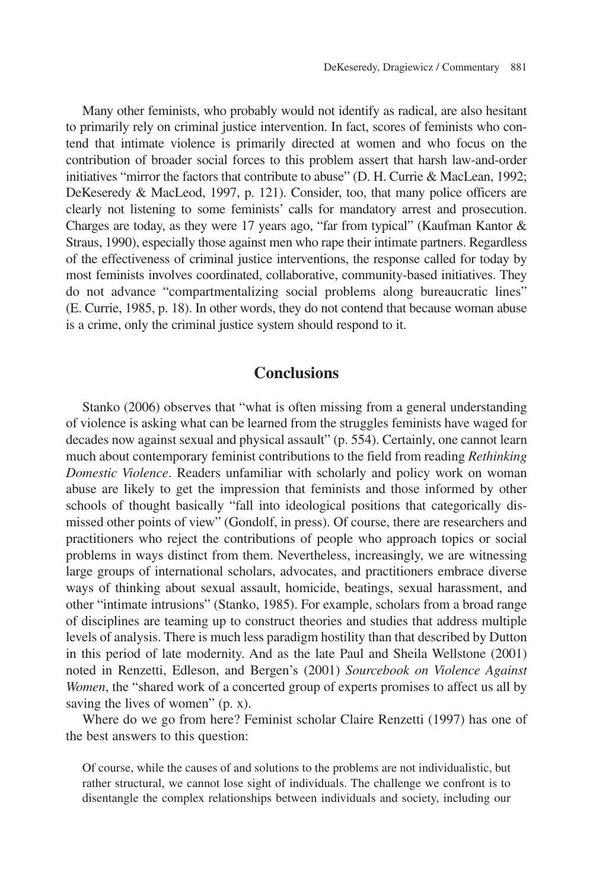Many other feminists, who probably would not identify as radical, are also hesitant to primarily rely on criminal justice intervention. In fact, scores of feminists who contend that intimate violence is primarily directed at women and who focus on the contribution of broader social forces to this problem assert that harsh law-and-order initiatives "mirror the factors that contribute to abuse" (D. H. Currie & MacLean, 1992; DeKeseredy & MacLeod, 1997, p. 121). Consider, too, that many police officers are clearly not listening to some feminists' calls for mandatory arrest and prosecution. Charges are today, as they were 17 years ago, "far from typical" (Kaufman Kantor & Straus, 1990), especially those against men who rape their intimate partners. Regardless of the effectiveness of criminal justice interventions, the response called for today by most feminists involves coordinated, collaborative, community-based initiatives. They do not advance "compartmentalizing social problems along bureaucratic lines" (E. Currie, 1985, p. 18). In other words, they do not contend that because woman abuse is a crime, only the criminal justice system should respond to it.

#### **Conclusions**

Stanko (2006) observes that "what is often missing from a general understanding of violence is asking what can be learned from the struggles feminists have waged for decades now against sexual and physical assault" (p. 554). Certainly, one cannot learn much about contemporary feminist contributions to the field from reading *Rethinking Domestic Violence*. Readers unfamiliar with scholarly and policy work on woman abuse are likely to get the impression that feminists and those informed by other schools of thought basically "fall into ideological positions that categorically dismissed other points of view" (Gondolf, in press). Of course, there are researchers and practitioners who reject the contributions of people who approach topics or social problems in ways distinct from them. Nevertheless, increasingly, we are witnessing large groups of international scholars, advocates, and practitioners embrace diverse ways of thinking about sexual assault, homicide, beatings, sexual harassment, and other "intimate intrusions" (Stanko, 1985). For example, scholars from a broad range of disciplines are teaming up to construct theories and studies that address multiple levels of analysis. There is much less paradigm hostility than that described by Dutton in this period of late modernity. And as the late Paul and Sheila Wellstone (2001) noted in Renzetti, Edleson, and Bergen's (2001) *Sourcebook on Violence Against Women*, the "shared work of a concerted group of experts promises to affect us all by saving the lives of women" (p. x).

Where do we go from here? Feminist scholar Claire Renzetti (1997) has one of the best answers to this question:

Of course, while the causes of and solutions to the problems are not individualistic, but rather structural, we cannot lose sight of individuals. The challenge we confront is to disentangle the complex relationships between individuals and society, including our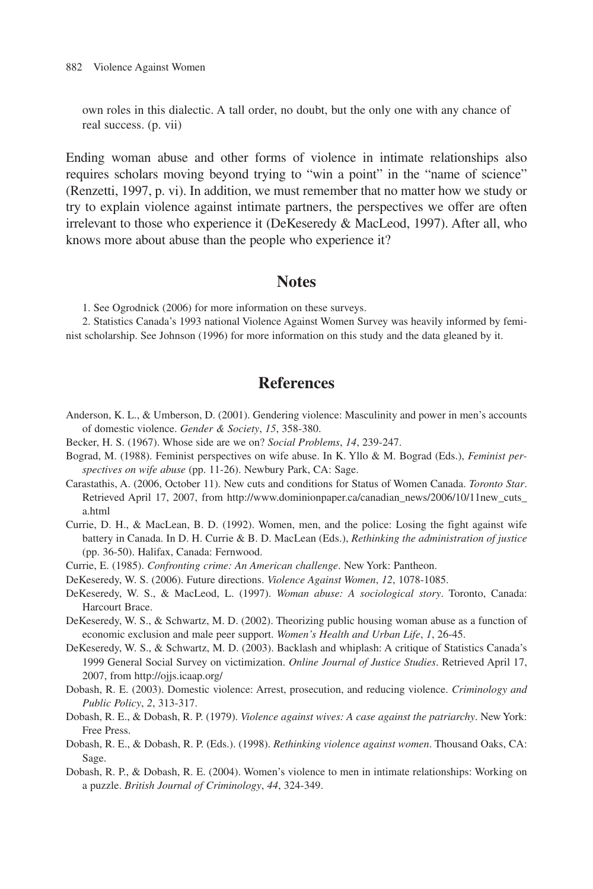own roles in this dialectic. A tall order, no doubt, but the only one with any chance of real success. (p. vii)

Ending woman abuse and other forms of violence in intimate relationships also requires scholars moving beyond trying to "win a point" in the "name of science" (Renzetti, 1997, p. vi). In addition, we must remember that no matter how we study or try to explain violence against intimate partners, the perspectives we offer are often irrelevant to those who experience it (DeKeseredy & MacLeod, 1997). After all, who knows more about abuse than the people who experience it?

#### **Notes**

1. See Ogrodnick (2006) for more information on these surveys.

2. Statistics Canada's 1993 national Violence Against Women Survey was heavily informed by feminist scholarship. See Johnson (1996) for more information on this study and the data gleaned by it.

#### **References**

- Anderson, K. L., & Umberson, D. (2001). Gendering violence: Masculinity and power in men's accounts of domestic violence. *Gender & Society*, *15*, 358-380.
- Becker, H. S. (1967). Whose side are we on? *Social Problems*, *14*, 239-247.
- Bograd, M. (1988). Feminist perspectives on wife abuse. In K. Yllo & M. Bograd (Eds.), *Feminist perspectives on wife abuse* (pp. 11-26). Newbury Park, CA: Sage.
- Carastathis, A. (2006, October 11). New cuts and conditions for Status of Women Canada. *Toronto Star*. Retrieved April 17, 2007, from http://www.dominionpaper.ca/canadian\_news/2006/10/11new\_cuts\_ a.html
- Currie, D. H., & MacLean, B. D. (1992). Women, men, and the police: Losing the fight against wife battery in Canada. In D. H. Currie & B. D. MacLean (Eds.), *Rethinking the administration of justice* (pp. 36-50). Halifax, Canada: Fernwood.
- Currie, E. (1985). *Confronting crime: An American challenge*. New York: Pantheon.
- DeKeseredy, W. S. (2006). Future directions. *Violence Against Women*, *12*, 1078-1085.
- DeKeseredy, W. S., & MacLeod, L. (1997). *Woman abuse: A sociological story*. Toronto, Canada: Harcourt Brace.
- DeKeseredy, W. S., & Schwartz, M. D. (2002). Theorizing public housing woman abuse as a function of economic exclusion and male peer support. *Women's Health and Urban Life*, *1*, 26-45.
- DeKeseredy, W. S., & Schwartz, M. D. (2003). Backlash and whiplash: A critique of Statistics Canada's 1999 General Social Survey on victimization. *Online Journal of Justice Studies*. Retrieved April 17, 2007, from http://ojjs.icaap.org/
- Dobash, R. E. (2003). Domestic violence: Arrest, prosecution, and reducing violence. *Criminology and Public Policy*, *2*, 313-317.
- Dobash, R. E., & Dobash, R. P. (1979). *Violence against wives: A case against the patriarchy*. New York: Free Press.
- Dobash, R. E., & Dobash, R. P. (Eds.). (1998). *Rethinking violence against women*. Thousand Oaks, CA: Sage.
- Dobash, R. P., & Dobash, R. E. (2004). Women's violence to men in intimate relationships: Working on a puzzle. *British Journal of Criminology*, *44*, 324-349.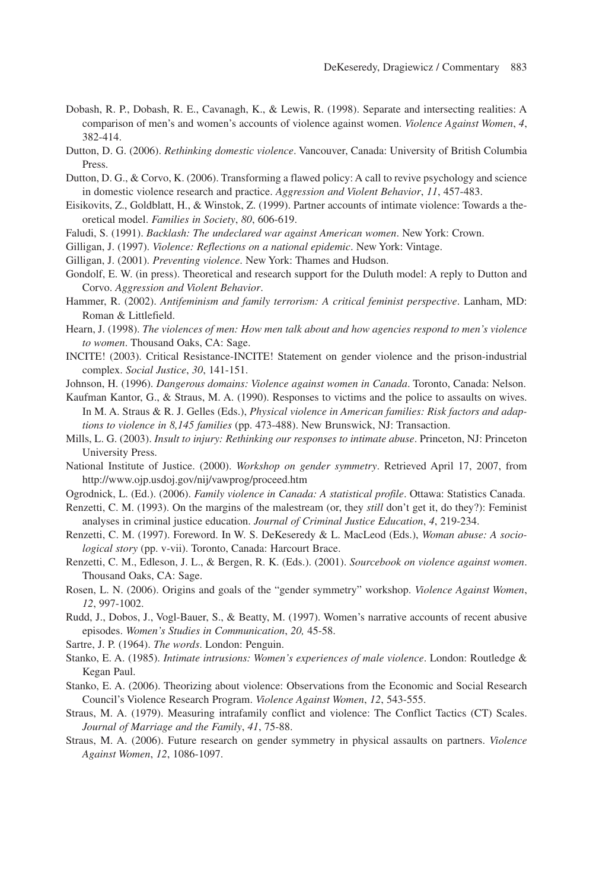- Dobash, R. P., Dobash, R. E., Cavanagh, K., & Lewis, R. (1998). Separate and intersecting realities: A comparison of men's and women's accounts of violence against women. *Violence Against Women*, *4*, 382-414.
- Dutton, D. G. (2006). *Rethinking domestic violence*. Vancouver, Canada: University of British Columbia Press.
- Dutton, D. G., & Corvo, K. (2006). Transforming a flawed policy: A call to revive psychology and science in domestic violence research and practice. *Aggression and Violent Behavior*, *11*, 457-483.
- Eisikovits, Z., Goldblatt, H., & Winstok, Z. (1999). Partner accounts of intimate violence: Towards a theoretical model. *Families in Society*, *80*, 606-619.
- Faludi, S. (1991). *Backlash: The undeclared war against American women*. New York: Crown.
- Gilligan, J. (1997). *Violence: Reflections on a national epidemic*. New York: Vintage.
- Gilligan, J. (2001). *Preventing violence*. New York: Thames and Hudson.
- Gondolf, E. W. (in press). Theoretical and research support for the Duluth model: A reply to Dutton and Corvo. *Aggression and Violent Behavior*.
- Hammer, R. (2002). *Antifeminism and family terrorism: A critical feminist perspective*. Lanham, MD: Roman & Littlefield.
- Hearn, J. (1998). *The violences of men: How men talk about and how agencies respond to men's violence to women*. Thousand Oaks, CA: Sage.
- INCITE! (2003). Critical Resistance-INCITE! Statement on gender violence and the prison-industrial complex. *Social Justice*, *30*, 141-151.
- Johnson, H. (1996). *Dangerous domains: Violence against women in Canada*. Toronto, Canada: Nelson.

Kaufman Kantor, G., & Straus, M. A. (1990). Responses to victims and the police to assaults on wives. In M. A. Straus & R. J. Gelles (Eds.), *Physical violence in American families: Risk factors and adaptions to violence in 8,145 families* (pp. 473-488). New Brunswick, NJ: Transaction.

- Mills, L. G. (2003). *Insult to injury: Rethinking our responses to intimate abuse*. Princeton, NJ: Princeton University Press.
- National Institute of Justice. (2000). *Workshop on gender symmetry*. Retrieved April 17, 2007, from http://www.ojp.usdoj.gov/nij/vawprog/proceed.htm
- Ogrodnick, L. (Ed.). (2006). *Family violence in Canada: A statistical profile*. Ottawa: Statistics Canada.
- Renzetti, C. M. (1993). On the margins of the malestream (or, they *still* don't get it, do they?): Feminist analyses in criminal justice education. *Journal of Criminal Justice Education*, *4*, 219-234.
- Renzetti, C. M. (1997). Foreword. In W. S. DeKeseredy & L. MacLeod (Eds.), *Woman abuse: A sociological story* (pp. v-vii). Toronto, Canada: Harcourt Brace.
- Renzetti, C. M., Edleson, J. L., & Bergen, R. K. (Eds.). (2001). *Sourcebook on violence against women*. Thousand Oaks, CA: Sage.
- Rosen, L. N. (2006). Origins and goals of the "gender symmetry" workshop. *Violence Against Women*, *12*, 997-1002.
- Rudd, J., Dobos, J., Vogl-Bauer, S., & Beatty, M. (1997). Women's narrative accounts of recent abusive episodes. *Women's Studies in Communication*, *20,* 45-58.
- Sartre, J. P. (1964). *The words*. London: Penguin.
- Stanko, E. A. (1985). *Intimate intrusions: Women's experiences of male violence*. London: Routledge & Kegan Paul.
- Stanko, E. A. (2006). Theorizing about violence: Observations from the Economic and Social Research Council's Violence Research Program. *Violence Against Women*, *12*, 543-555.
- Straus, M. A. (1979). Measuring intrafamily conflict and violence: The Conflict Tactics (CT) Scales. *Journal of Marriage and the Family*, *41*, 75-88.
- Straus, M. A. (2006). Future research on gender symmetry in physical assaults on partners. *Violence Against Women*, *12*, 1086-1097.